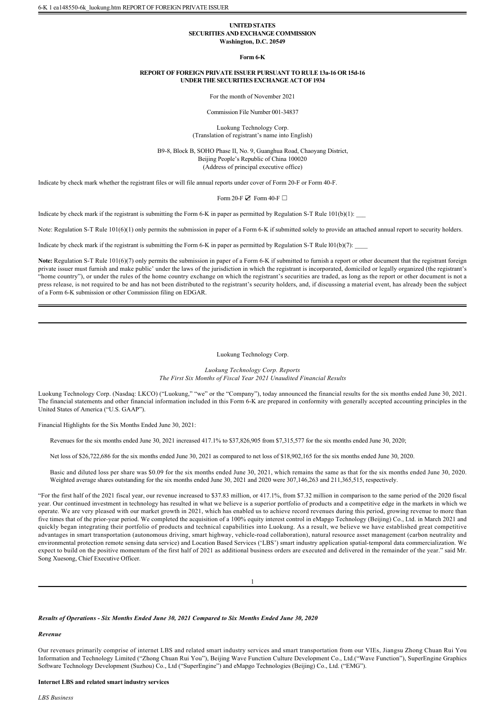# **UNITED STATES SECURITIES AND EXCHANGE COMMISSION Washington, D.C. 20549**

#### **Form 6K**

#### **REPORT OF FOREIGN PRIVATE ISSUER PURSUANT TO RULE 13a16 OR 15d16 UNDER THE SECURITIES EXCHANGE ACT OF 1934**

For the month of November 2021

Commission File Number 001-34837

Luokung Technology Corp. (Translation of registrant's name into English)

B9-8, Block B, SOHO Phase II, No. 9, Guanghua Road, Chaoyang District, Beijing People's Republic of China 100020 (Address of principal executive office)

Indicate by check mark whether the registrant files or will file annual reports under cover of Form 20-F or Form 40-F.

## Form 20-F  $\Box$  Form 40-F  $\Box$

Indicate by check mark if the registrant is submitting the Form 6-K in paper as permitted by Regulation S-T Rule  $101(b)(1)$ :

Note: Regulation S-T Rule 101(6)(1) only permits the submission in paper of a Form 6-K if submitted solely to provide an attached annual report to security holders.

Indicate by check mark if the registrant is submitting the Form 6-K in paper as permitted by Regulation S-T Rule  $101(b)(7)$ :

Note: Regulation S-T Rule 101(6)(7) only permits the submission in paper of a Form 6-K if submitted to furnish a report or other document that the registrant foreign private issuer must furnish and make public' under the laws of the jurisdiction in which the registrant is incorporated, domiciled or legally organized (the registrant's "home country"), or under the rules of the home country exchange on which the registrant's securities are traded, as long as the report or other document is not a press release, is not required to be and has not been distributed to the registrant's security holders, and, if discussing a material event, has already been the subject of a Form 6-K submission or other Commission filing on EDGAR.

# Luokung Technology Corp.

*Luokung Technology Corp. Reports The First Six Months of Fiscal Year 2021 Unaudited Financial Results*

Luokung Technology Corp. (Nasdaq: LKCO) ("Luokung," "we" or the "Company"), today announced the financial results for the six months ended June 30, 2021. The financial statements and other financial information included in this Form 6K are prepared in conformity with generally accepted accounting principles in the United States of America ("U.S. GAAP").

Financial Highlights for the Six Months Ended June 30, 2021:

Revenues for the six months ended June 30, 2021 increased 417.1% to \$37,826,905 from \$7,315,577 for the six months ended June 30, 2020;

Net loss of \$26,722,686 for the six months ended June 30, 2021 as compared to net loss of \$18,902,165 for the six months ended June 30, 2020.

Basic and diluted loss per share was \$0.09 for the six months ended June 30, 2021, which remains the same as that for the six months ended June 30, 2020. Weighted average shares outstanding for the six months ended June 30, 2021 and 2020 were 307,146,263 and 211,365,515, respectively.

"For the first half of the 2021 fiscal year, our revenue increased to \$37.83 million, or 417.1%, from \$7.32 million in comparison to the same period of the 2020 fiscal year. Our continued investment in technology has resulted in what we believe is a superior portfolio of products and a competitive edge in the markets in which we operate. We are very pleased with our market growth in 2021, which has enabled us to achieve record revenues during this period, growing revenue to more than five times that of the prioryear period. We completed the acquisition of a 100% equity interest control in eMapgo Technology (Beijing) Co., Ltd. in March 2021 and quickly began integrating their portfolio of products and technical capabilities into Luokung. As a result, we believe we have established great competitive advantages in smart transportation (autonomous driving, smart highway, vehicle-road collaboration), natural resource asset management (carbon neutrality and environmental protection remote sensing data service) and Location Based Services ('LBS') smart industry application spatial-temporal data commercialization. We expect to build on the positive momentum of the first half of 2021 as additional business orders are executed and delivered in the remainder of the year." said Mr. Song Xuesong, Chief Executive Officer.

*Results of Operations Six Months Ended June 30, 2021 Compared to Six Months Ended June 30, 2020*

*Revenue*

Our revenues primarily comprise of internet LBS and related smart industry services and smart transportation from our VIEs, Jiangsu Zhong Chuan Rui You Information and Technology Limited ("Zhong Chuan Rui You"), Beijing Wave Function Culture Development Co., Ltd.("Wave Function"), SuperEngine Graphics Software Technology Development (Suzhou) Co., Ltd ("SuperEngine") and eMapgo Technologies (Beijing) Co., Ltd. ("EMG").

# **Internet LBS and related smart industry services**

#### *LBS Business*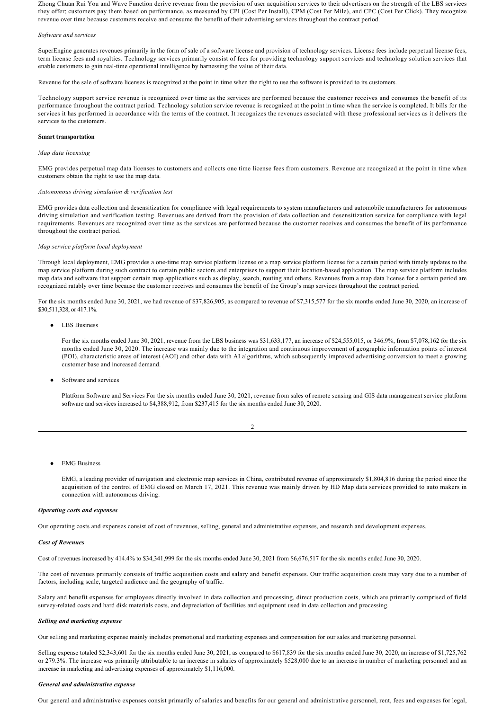Zhong Chuan Rui You and Wave Function derive revenue from the provision of user acquisition services to their advertisers on the strength of the LBS services they offer; customers pay them based on performance, as measured by CPI (Cost Per Install), CPM (Cost Per Mile), and CPC (Cost Per Click). They recognize revenue over time because customers receive and consume the benefit of their advertising services throughout the contract period.

#### *Software and services*

SuperEngine generates revenues primarily in the form of sale of a software license and provision of technology services. License fees include perpetual license fees, term license fees and royalties. Technology services primarily consist of fees for providing technology support services and technology solution services that enable customers to gain real-time operational intelligence by harnessing the value of their data.

Revenue for the sale of software licenses is recognized at the point in time when the right to use the software is provided to its customers.

Technology support service revenue is recognized over time as the services are performed because the customer receives and consumes the benefit of its performance throughout the contract period. Technology solution service revenue is recognized at the point in time when the service is completed. It bills for the services it has performed in accordance with the terms of the contract. It recognizes the revenues associated with these professional services as it delivers the services to the customers.

#### **Smart transportation**

#### *Map data licensing*

EMG provides perpetual map data licenses to customers and collects one time license fees from customers. Revenue are recognized at the point in time when customers obtain the right to use the map data.

# *Autonomous driving simulation & verification test*

EMG provides data collection and desensitization for compliance with legal requirements to system manufacturers and automobile manufacturers for autonomous driving simulation and verification testing. Revenues are derived from the provision of data collection and desensitization service for compliance with legal requirements. Revenues are recognized over time as the services are performed because the customer receives and consumes the benefit of its performance throughout the contract period.

#### *Map service platform local deployment*

Through local deployment, EMG provides a one-time map service platform license or a map service platform license for a certain period with timely updates to the map service platform during such contract to certain public sectors and enterprises to support their location-based application. The map service platform includes map data and software that support certain map applications such as display, search, routing and others. Revenues from a map data license for a certain period are recognized ratably over time because the customer receives and consumes the benefit of the Group's map services throughout the contract period.

For the six months ended June 30, 2021, we had revenue of \$37,826,905, as compared to revenue of \$7,315,577 for the six months ended June 30, 2020, an increase of \$30,511,328, or 417.1%.

● LBS Business

For the six months ended June 30, 2021, revenue from the LBS business was \$31,633,177, an increase of \$24,555,015, or 346.9%, from \$7,078,162 for the six months ended June 30, 2020. The increase was mainly due to the integration and continuous improvement of geographic information points of interest (POI), characteristic areas of interest (AOI) and other data with AI algorithms, which subsequently improved advertising conversion to meet a growing customer base and increased demand.

Software and services

Platform Software and Services For the six months ended June 30, 2021, revenue from sales of remote sensing and GIS data management service platform software and services increased to \$4,388,912, from \$237,415 for the six months ended June 30, 2020.

**EMG** Business

EMG, a leading provider of navigation and electronic map services in China, contributed revenue of approximately \$1,804,816 during the period since the acquisition of the control of EMG closed on March 17, 2021. This revenue was mainly driven by HD Map data services provided to auto makers in connection with autonomous driving.

# *Operating costs and expenses*

Our operating costs and expenses consist of cost of revenues, selling, general and administrative expenses, and research and development expenses.

# *Cost of Revenues*

Cost of revenues increased by 414.4% to \$34,341,999 for the six months ended June 30, 2021 from \$6,676,517 for the six months ended June 30, 2020.

The cost of revenues primarily consists of traffic acquisition costs and salary and benefit expenses. Our traffic acquisition costs may vary due to a number of factors, including scale, targeted audience and the geography of traffic.

Salary and benefit expenses for employees directly involved in data collection and processing, direct production costs, which are primarily comprised of field surveyrelated costs and hard disk materials costs, and depreciation of facilities and equipment used in data collection and processing.

# *Selling and marketing expense*

Our selling and marketing expense mainly includes promotional and marketing expenses and compensation for our sales and marketing personnel.

Selling expense totaled \$2,343,601 for the six months ended June 30, 2021, as compared to \$617,839 for the six months ended June 30, 2020, an increase of \$1,725,762 or 279.3%. The increase was primarily attributable to an increase in salaries of approximately \$528,000 due to an increase in number of marketing personnel and an increase in marketing and advertising expenses of approximately \$1,116,000.

# *General and administrative expense*

Our general and administrative expenses consist primarily of salaries and benefits for our general and administrative personnel, rent, fees and expenses for legal,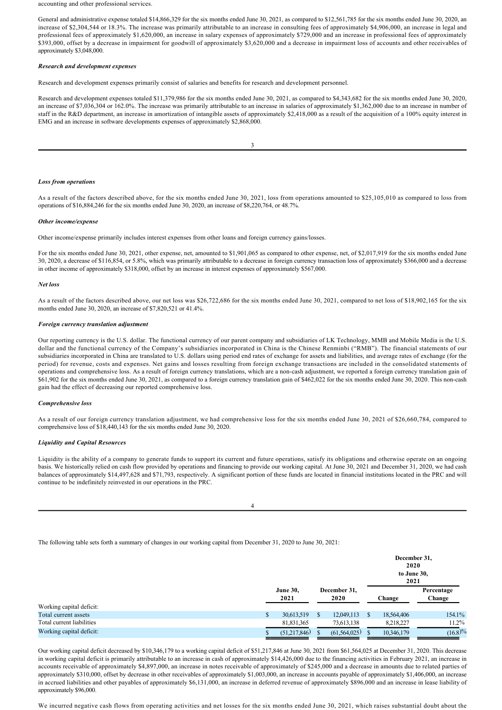accounting and other professional services.

General and administrative expense totaled \$14,866,329 for the six months ended June 30, 2021, as compared to \$12,561,785 for the six months ended June 30, 2020, an increase of \$2,304,544 or 18.3%. The increase was primarily attributable to an increase in consulting fees of approximately \$4,906,000, an increase in legal and professional fees of approximately \$1,620,000, an increase in salary expenses of approximately \$729,000 and an increase in professional fees of approximately \$393,000, offset by a decrease in impairment for goodwill of approximately \$3,620,000 and a decrease in impairment loss of accounts and other receivables of approximately \$3,048,000.

# *Research and development expenses*

Research and development expenses primarily consist of salaries and benefits for research and development personnel.

Research and development expenses totaled \$11,379,986 for the six months ended June 30, 2021, as compared to \$4,343,682 for the six months ended June 30, 2020, an increase of \$7,036,304 or 162.0%. The increase was primarily attributable to an increase in salaries of approximately \$1,362,000 due to an increase in number of staff in the R&D department, an increase in amortization of intangible assets of approximately \$2,418,000 as a result of the acquisition of a 100% equity interest in EMG and an increase in software developments expenses of approximately \$2,868,000.

3

# *Loss from operations*

As a result of the factors described above, for the six months ended June 30, 2021, loss from operations amounted to \$25,105,010 as compared to loss from operations of \$16,884,246 for the six months ended June 30, 2020, an increase of \$8,220,764, or 48.7%.

#### *Other income/expense*

Other income/expense primarily includes interest expenses from other loans and foreign currency gains/losses.

For the six months ended June 30, 2021, other expense, net, amounted to \$1,901,065 as compared to other expense, net, of \$2,017,919 for the six months ended June 30, 2020, a decrease of \$116,854, or 5.8%, which was primarily attributable to a decrease in foreign currency transaction loss of approximately \$366,000 and a decrease in other income of approximately \$318,000, offset by an increase in interest expenses of approximately \$567,000.

## *Net loss*

As a result of the factors described above, our net loss was \$26,722,686 for the six months ended June 30, 2021, compared to net loss of \$18,902,165 for the six months ended June 30, 2020, an increase of \$7,820,521 or 41.4%.

## *Foreign currency translation adjustment*

Our reporting currency is the U.S. dollar. The functional currency of our parent company and subsidiaries of LK Technology, MMB and Mobile Media is the U.S. dollar and the functional currency of the Company's subsidiaries incorporated in China is the Chinese Renminbi ("RMB"). The financial statements of our subsidiaries incorporated in China are translated to U.S. dollars using period end rates of exchange for assets and liabilities, and average rates of exchange (for the period) for revenue, costs and expenses. Net gains and losses resulting from foreign exchange transactions are included in the consolidated statements of operations and comprehensive loss. As a result of foreign currency translations, which are a noncash adjustment, we reported a foreign currency translation gain of \$61,902 for the six months ended June 30, 2021, as compared to a foreign currency translation gain of \$462,022 for the six months ended June 30, 2020. This noncash gain had the effect of decreasing our reported comprehensive loss.

## *Comprehensive loss*

As a result of our foreign currency translation adjustment, we had comprehensive loss for the six months ended June 30, 2021 of \$26,660,784, compared to comprehensive loss of \$18,440,143 for the six months ended June 30, 2020.

## *Liquidity and Capital Resources*

Liquidity is the ability of a company to generate funds to support its current and future operations, satisfy its obligations and otherwise operate on an ongoing basis. We historically relied on cash flow provided by operations and financing to provide our working capital. At June 30, 2021 and December 31, 2020, we had cash balances of approximately \$14,497,628 and \$71,793, respectively. A significant portion of these funds are located in financial institutions located in the PRC and will continue to be indefinitely reinvested in our operations in the PRC.

The following table sets forth a summary of changes in our working capital from December 31, 2020 to June 30, 2021:

|                           |   |                         |  | December 31,<br>2020 |   | December 31,<br>2020<br>to June 30,<br>2021 |                      |
|---------------------------|---|-------------------------|--|----------------------|---|---------------------------------------------|----------------------|
|                           |   | <b>June 30,</b><br>2021 |  |                      |   | Change                                      | Percentage<br>Change |
| Working capital deficit:  |   |                         |  |                      |   |                                             |                      |
| Total current assets      | ъ | 30,613,519              |  | 12,049,113           | S | 18,564,406                                  | 154.1%               |
| Total current liabilities |   | 81,831,365              |  | 73,613,138           |   | 8,218,227                                   | 11.2%                |
| Working capital deficit:  |   | (51,217,846)            |  | (61, 564, 025)       |   | 10,346,179                                  | $(16.8)^{0/6}$       |

Our working capital deficit decreased by \$10,346,179 to a working capital deficit of \$51,217,846 at June 30, 2021 from \$61,564,025 at December 31, 2020. This decrease in working capital deficit is primarily attributable to an increase in cash of approximately \$14,426,000 due to the financing activities in February 2021, an increase in accounts receivable of approximately \$4,897,000, an increase in notes receivable of approximately of \$245,000 and a decrease in amounts due to related parties of approximately \$310,000, offset by decrease in other receivables of approximately \$1,003,000, an increase in accounts payable of approximately \$1,406,000, an increase in accrued liabilities and other payables of approximately \$6,131,000, an increase in deferred revenue of approximately \$896,000 and an increase in lease liability of approximately \$96,000.

We incurred negative cash flows from operating activities and net losses for the six months ended June 30, 2021, which raises substantial doubt about the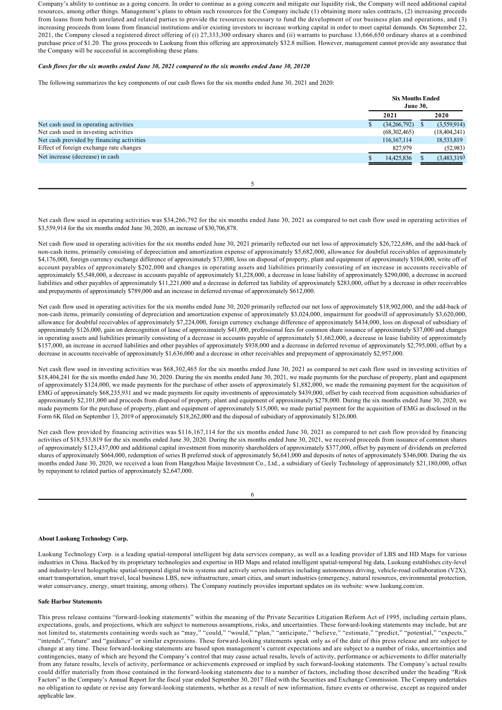Company's ability to continue as a going concern. In order to continue as a going concern and mitigate our liquidity risk, the Company will need additional capital resources, among other things. Management's plans to obtain such resources for the Company include (1) obtaining more sales contracts, (2) increasing proceeds from loans from both unrelated and related parties to provide the resources necessary to fund the development of our business plan and operations, and (3) increasing proceeds from loans from financial institutions and/or existing investors to increase working capital in order to meet capital demands. On September 22, 2021, the Company closed a registered direct offering of (i) 27,333,300 ordinary shares and (ii) warrants to purchase 13,666,650 ordinary shares at a combined purchase price of \$1.20. The gross proceeds to Luokung from this offering are approximately \$32.8 million. However, management cannot provide any assurance that the Company will be successful in accomplishing these plans.

## *Cash flows for the six months ended June 30, 2021 compared to the six months ended June 30, 20120*

The following summarizes the key components of our cash flows for the six months ended June 30, 2021 and 2020:

|                                           | <b>Six Months Ended</b> |               |  |                |
|-------------------------------------------|-------------------------|---------------|--|----------------|
|                                           | <b>June 30.</b>         |               |  |                |
|                                           |                         | 2021          |  | 2020           |
| Net cash used in operating activities     |                         | (34,266,792)  |  | (3,559,914)    |
| Net cash used in investing activities     |                         | (68,302,465)  |  | (18, 404, 241) |
| Net cash provided by financing activities |                         | 116, 167, 114 |  | 18,533,819     |
| Effect of foreign exchange rate changes   |                         | 827,979       |  | (52,983)       |
| Net increase (decrease) in cash           |                         | 14,425,836    |  | (3,483,319)    |
|                                           |                         |               |  |                |

5

Net cash flow used in operating activities was \$34,266,792 for the six months ended June 30, 2021 as compared to net cash flow used in operating activities of \$3,559,914 for the six months ended June 30, 2020, an increase of \$30,706,878.

Net cash flow used in operating activities for the six months ended June 30, 2021 primarily reflected our net loss of approximately \$26,722,686, and the add-back of non-cash items, primarily consisting of depreciation and amortization expense of approximately \$5,682,000, allowance for doubtful receivables of approximately \$4,176,000, foreign currency exchange difference of approximately \$73,000, loss on disposal of property, plant and equipment of approximately \$104,000, write off of account payables of approximately \$202,000 and changes in operating assets and liabilities primarily consisting of an increase in accounts receivable of approximately \$5,548,000, a decrease in accounts payable of approximately \$1,228,000, a decrease in lease liability of approximately \$290,000, a decrease in accrued liabilities and other payables of approximately \$11,221,000 and a decrease in deferred tax liability of approximately \$283,000, offset by a decrease in other receivables and prepayments of approximately \$789,000 and an increase in deferred revenue of approximately \$612,000.

Net cash flow used in operating activities for the six months ended June 30, 2020 primarily reflected our net loss of approximately \$18,902,000, and the add-back of non-cash items, primarily consisting of depreciation and amortization expense of approximately \$3,024,000, impairment for goodwill of approximately \$3,620,000, allowance for doubtful receivables of approximately \$7,224,000, foreign currency exchange difference of approximately \$434,000, loss on disposal of subsidiary of approximately \$126,000, gain on derecognition of lease of approximately \$41,000, professional fees for common share issuance of approximately \$37,000 and changes in operating assets and liabilities primarily consisting of a decrease in accounts payable of approximately \$1,662,000, a decrease in lease liability of approximately \$157,000, an increase in accrued liabilities and other payables of approximately \$938,000 and a decrease in deferred revenue of approximately \$2,795,000, offset by a decrease in accounts receivable of approximately \$1,636,000 and a decrease in other receivables and prepayment of approximately \$2,957,000.

Net cash flow used in investing activities was \$68,302,465 for the six months ended June 30, 2021 as compared to net cash flow used in investing activities of \$18,404,241 for the six months ended June 30, 2020. During the six months ended June 30, 2021, we made payments for the purchase of property, plant and equipment of approximately \$124,000, we made payments for the purchase of other assets of approximately \$1,882,000, we made the remaining payment for the acquisition of EMG of approximately \$68,235,931 and we made payments for equity investments of approximately \$439,000, offset by cash received from acquisition subsidiaries of approximately \$2,101,000 and proceeds from disposal of property, plant and equipment of approximately \$278,000. During the six months ended June 30, 2020, we made payments for the purchase of property, plant and equipment of approximately \$15,000, we made partial payment for the acquisition of EMG as disclosed in the Form 6K filed on September 13, 2019 of approximately \$18,262,000 and the disposal of subsidiary of approximately \$126,000.

Net cash flow provided by financing activities was \$116,167,114 for the six months ended June 30, 2021 as compared to net cash flow provided by financing activities of \$18,533,819 for the six months ended June 30, 2020. During the six months ended June 30, 2021, we received proceeds from issuance of common shares of approximately \$123,437,000 and additional capital investment from minority shareholders of approximately \$377,000, offset by payment of dividends on preferred shares of approximately \$664,000, redemption of series B preferred stock of approximately \$6,641,000 and deposits of notes of approximately \$346,000. During the six months ended June 30, 2020, we received a loan from Hangzhou Maijie Investment Co., Ltd., a subsidiary of Geely Technology of approximately \$21,180,000, offset by repayment to related parties of approximately \$2,647,000.

## **About Luokung Technology Corp.**

Luokung Technology Corp. is a leading spatial-temporal intelligent big data services company, as well as a leading provider of LBS and HD Maps for various industries in China. Backed by its proprietary technologies and expertise in HD Maps and related intelligent spatial-temporal big data, Luokung establishes city-level and industry-level holographic spatial-temporal digital twin systems and actively serves industries including autonomous driving, vehicle-road collaboration (V2X), smart transportation, smart travel, local business LBS, new infrastructure, smart cities, and smart industries (emergency, natural resources, environmental protection, water conservancy, energy, smart training, among others). The Company routinely provides important updates on its website: www.luokung.com/en.

#### **Safe Harbor Statements**

This press release contains "forward-looking statements" within the meaning of the Private Securities Litigation Reform Act of 1995, including certain plans, expectations, goals, and projections, which are subject to numerous assumptions, risks, and uncertainties. These forward-looking statements may include, but are not limited to, statements containing words such as "may," "could," "would," "plan," "anticipate," "believe," "estimate," "predict," "potential," "expects," "intends", "future" and "guidance" or similar expressions. These forward-looking statements speak only as of the date of this press release and are subject to change at any time. These forward-looking statements are based upon management's current expectations and are subject to a number of risks, uncertainties and contingencies, many of which are beyond the Company's control that may cause actual results, levels of activity, performance or achievements to differ materially from any future results, levels of activity, performance or achievements expressed or implied by such forward-looking statements. The Company's actual results could differ materially from those contained in the forward-looking statements due to a number of factors, including those described under the heading "Risk Factors" in the Company's Annual Report for the fiscal year ended September 30, 2017 filed with the Securities and Exchange Commission. The Company undertakes no obligation to update or revise any forward-looking statements, whether as a result of new information, future events or otherwise, except as required under applicable law.

<sup>6</sup>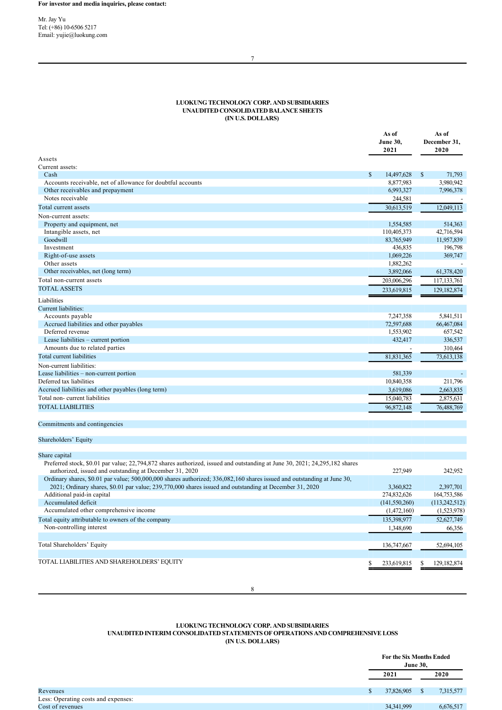### **LUOKUNG TECHNOLOGY CORP. AND SUBSIDIARIES UNAUDITED CONSOLIDATED BALANCE SHEETS (IN U.S. DOLLARS)**

|                                                             | As of<br><b>June 30.</b><br>2021 | As of<br>December 31.<br>2020 |  |
|-------------------------------------------------------------|----------------------------------|-------------------------------|--|
| Assets                                                      |                                  |                               |  |
| Current assets:                                             |                                  |                               |  |
| Cash                                                        | $\mathbf S$<br>14,497,628        | $\mathcal{S}$<br>71,793       |  |
| Accounts receivable, net of allowance for doubtful accounts | 8,877,983                        | 3,980,942                     |  |
| Other receivables and prepayment                            | 6,993,327                        | 7,996,378                     |  |
| Notes receivable                                            | 244,581                          |                               |  |
| Total current assets                                        | 30,613,519                       | 12,049,113                    |  |
| Non-current assets:                                         |                                  |                               |  |
| Property and equipment, net                                 | 1,554,585                        | 514,363                       |  |
| Intangible assets, net                                      | 110,405,373                      | 42,716,594                    |  |
| Goodwill                                                    | 83,765,949                       | 11,957,839                    |  |
| Investment                                                  | 436,835                          | 196,798                       |  |
| Right-of-use assets                                         | 1,069,226                        | 369,747                       |  |
| Other assets                                                | 1,882,262                        |                               |  |
| Other receivables, net (long term)                          | 3,892,066                        | 61,378,420                    |  |
| Total non-current assets                                    | 203,006,296                      | 117,133,761                   |  |
| <b>TOTAL ASSETS</b>                                         | 233,619,815                      | 129,182,874                   |  |
| Liabilities                                                 |                                  |                               |  |
| Current liabilities:                                        |                                  |                               |  |
| Accounts payable                                            | 7,247,358                        | 5,841,511                     |  |
| Accrued liabilities and other payables                      | 72,597,688                       | 66,467,084                    |  |
| Deferred revenue                                            | 1,553,902                        | 657,542                       |  |
| Lease liabilities - current portion                         | 432,417                          | 336,537                       |  |
| Amounts due to related parties                              |                                  | 310,464                       |  |
| <b>Total current liabilities</b>                            | 81,831,365                       | 73,613,138                    |  |
| Non-current liabilities:                                    |                                  |                               |  |
| Lease liabilities - non-current portion                     | 581,339                          |                               |  |
| Deferred tax liabilities                                    | 10,840,358                       | 211,796                       |  |
| Accrued liabilities and other payables (long term)          | 3,619,086                        | 2,663,835                     |  |
| Total non-current liabilities                               | 15,040,783                       | 2,875,631                     |  |
| <b>TOTAL LIABILITIES</b>                                    | 96,872,148                       | 76,488,769                    |  |

# Commitments and contingencies

# Shareholders' Equity

Share capital

| Preferred stock, \$0.01 par value; 22,794,872 shares authorized, issued and outstanding at June 30, 2021; 24,295,182 shares |                 |                      |
|-----------------------------------------------------------------------------------------------------------------------------|-----------------|----------------------|
| authorized, issued and outstanding at December 31, 2020                                                                     | 227.949         | 242,952              |
| Ordinary shares, \$0.01 par value; 500,000,000 shares authorized; 336,082,160 shares issued and outstanding at June 30,     |                 |                      |
| 2021; Ordinary shares, \$0.01 par value; 239,770,000 shares issued and outstanding at December 31, 2020                     | 3,360,822       | 2,397,701            |
| Additional paid-in capital                                                                                                  | 274,832,626     | 164,753,586          |
| Accumulated deficit                                                                                                         | (141, 550, 260) | (113,242,512)        |
| Accumulated other comprehensive income                                                                                      | (1,472,160)     | (1,523,978)          |
| Total equity attributable to owners of the company                                                                          | 135.398.977     | 52,627,749           |
| Non-controlling interest                                                                                                    | 1,348,690       | 66,356               |
|                                                                                                                             |                 |                      |
| Total Shareholders' Equity                                                                                                  | 136,747,667     | 52,694,105           |
|                                                                                                                             |                 |                      |
| TOTAL LIABILITIES AND SHAREHOLDERS' EQUITY                                                                                  | 233,619,815     | 129, 182, 874<br>Эħ. |
|                                                                                                                             |                 |                      |
|                                                                                                                             |                 |                      |

## **LUOKUNG TECHNOLOGY CORP. AND SUBSIDIARIES UNAUDITED INTERIM CONSOLIDATED STATEMENTS OF OPERATIONS AND COMPREHENSIVE LOSS (IN U.S. DOLLARS)**

8

|                                     |   | <b>For the Six Months Ended</b><br><b>June 30,</b> |           |
|-------------------------------------|---|----------------------------------------------------|-----------|
|                                     |   | 2021                                               | 2020      |
| Revenues                            | S | 37,826,905                                         | 7,315,577 |
| Less: Operating costs and expenses: |   |                                                    |           |
| Cost of revenues                    |   | 34, 341, 999                                       | 6,676,517 |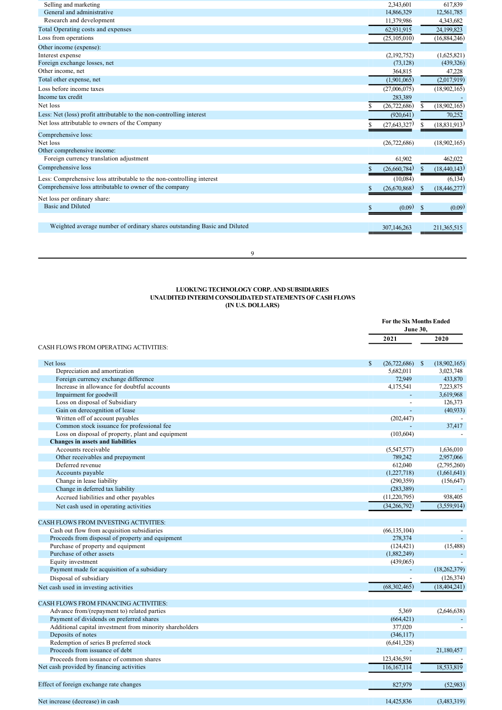| Selling and marketing                                                    |    | 2,343,601      |    | 617,839        |
|--------------------------------------------------------------------------|----|----------------|----|----------------|
| General and administrative                                               |    | 14,866,329     |    | 12,561,785     |
| Research and development                                                 |    | 11,379,986     |    | 4,343,682      |
| Total Operating costs and expenses                                       |    | 62,931,915     |    | 24,199,823     |
| Loss from operations                                                     |    | (25,105,010)   |    | (16,884,246)   |
| Other income (expense):                                                  |    |                |    |                |
| Interest expense                                                         |    | (2,192,752)    |    | (1,625,821)    |
| Foreign exchange losses, net                                             |    | (73, 128)      |    | (439, 326)     |
| Other income, net                                                        |    | 364,815        |    | 47,228         |
| Total other expense, net                                                 |    | (1,901,065)    |    | (2,017,919)    |
| Loss before income taxes                                                 |    | (27,006,075)   |    | (18,902,165)   |
| Income tax credit                                                        |    | 283,389        |    |                |
| Net loss                                                                 |    | (26, 722, 686) | S. | (18,902,165)   |
| Less: Net (loss) profit attributable to the non-controlling interest     |    | (920, 641)     |    | 70,252         |
| Net loss attributable to owners of the Company                           |    | (27, 643, 327) |    | (18, 831, 913) |
| Comprehensive loss:                                                      |    |                |    |                |
| Net loss                                                                 |    | (26, 722, 686) |    | (18,902,165)   |
| Other comprehensive income:                                              |    |                |    |                |
| Foreign currency translation adjustment                                  |    | 61,902         |    | 462,022        |
| Comprehensive loss                                                       |    | (26,660,784)   | S. | (18, 440, 143) |
| Less: Comprehensive loss attributable to the non-controlling interest    |    | (10,084)       |    | (6, 134)       |
| Comprehensive loss attributable to owner of the company                  | S  | (26,670,868)   | S  | (18, 446, 277) |
| Net loss per ordinary share:                                             |    |                |    |                |
| Basic and Diluted                                                        | \$ | (0.09)         | \$ | (0.09)         |
|                                                                          |    |                |    |                |
| Weighted average number of ordinary shares outstanding Basic and Diluted |    | 307,146,263    |    | 211,365,515    |
|                                                                          |    |                |    |                |

# 9

# **LUOKUNG TECHNOLOGY CORP. AND SUBSIDIARIES UNAUDITED INTERIM CONSOLIDATED STATEMENTS OF CASH FLOWS (IN U.S. DOLLARS)**

|                                                          |                                | <b>For the Six Months Ended</b><br><b>June 30,</b> |  |  |
|----------------------------------------------------------|--------------------------------|----------------------------------------------------|--|--|
|                                                          |                                |                                                    |  |  |
|                                                          | 2021                           | 2020                                               |  |  |
| CASH FLOWS FROM OPERATING ACTIVITIES:                    |                                |                                                    |  |  |
| Net loss                                                 | $\mathbb{S}$<br>(26, 722, 686) | (18,902,165)<br>$\mathcal{S}$                      |  |  |
| Depreciation and amortization                            | 5,682,011                      | 3,023,748                                          |  |  |
| Foreign currency exchange difference                     | 72,949                         | 433,870                                            |  |  |
| Increase in allowance for doubtful accounts              | 4,175,541                      | 7,223,875                                          |  |  |
| Impairment for goodwill                                  |                                | 3,619,968                                          |  |  |
| Loss on disposal of Subsidiary                           |                                | 126,373                                            |  |  |
| Gain on derecognition of lease                           |                                | (40,933)                                           |  |  |
| Written off of account payables                          | (202, 447)                     |                                                    |  |  |
| Common stock issuance for professional fee               |                                | 37,417                                             |  |  |
| Loss on disposal of property, plant and equipment        | (103, 604)                     |                                                    |  |  |
| <b>Changes in assets and liabilities</b>                 |                                |                                                    |  |  |
| Accounts receivable                                      | (5,547,577)                    | 1,636,010                                          |  |  |
| Other receivables and prepayment                         | 789,242                        | 2,957,066                                          |  |  |
| Deferred revenue                                         | 612,040                        | (2,795,260)                                        |  |  |
| Accounts payable                                         | (1,227,718)                    | (1,661,641)                                        |  |  |
| Change in lease liability                                | (290, 359)                     | (156, 647)                                         |  |  |
| Change in deferred tax liability                         | (283, 389)                     |                                                    |  |  |
| Accrued liabilities and other payables                   | (11,220,795)                   | 938,405                                            |  |  |
| Net cash used in operating activities                    | (34, 266, 792)                 | (3,559,914)                                        |  |  |
| <b>CASH FLOWS FROM INVESTING ACTIVITIES:</b>             |                                |                                                    |  |  |
| Cash out flow from acquisition subsidiaries              | (66, 135, 104)                 |                                                    |  |  |
| Proceeds from disposal of property and equipment         | 278,374                        |                                                    |  |  |
| Purchase of property and equipment                       | (124, 421)                     | (15, 488)                                          |  |  |
| Purchase of other assets                                 | (1,882,249)                    |                                                    |  |  |
| Equity investment                                        | (439,065)                      |                                                    |  |  |
| Payment made for acquisition of a subsidiary             |                                | (18,262,379)                                       |  |  |
| Disposal of subsidiary                                   |                                | (126, 374)                                         |  |  |
| Net cash used in investing activities                    | (68, 302, 465)                 | (18, 404, 241)                                     |  |  |
| CASH FLOWS FROM FINANCING ACTIVITIES:                    |                                |                                                    |  |  |
| Advance from/(repayment to) related parties              | 5,369                          | (2,646,638)                                        |  |  |
| Payment of dividends on preferred shares                 | (664, 421)                     |                                                    |  |  |
| Additional capital investment from minority shareholders | 377,020                        |                                                    |  |  |
| Deposits of notes                                        | (346, 117)                     |                                                    |  |  |
| Redemption of series B preferred stock                   | (6,641,328)                    |                                                    |  |  |
| Proceeds from issuance of debt                           | $\overline{\phantom{a}}$       | 21,180,457                                         |  |  |
| Proceeds from issuance of common shares                  | 123,436,591                    |                                                    |  |  |
| Net cash provided by financing activities                | 116, 167, 114                  | 18,533,819                                         |  |  |
| Effect of foreign exchange rate changes                  | 827,979                        | (52,983)                                           |  |  |
| Net increase (decrease) in cash                          | 14.425.836                     | (3,483,319)                                        |  |  |